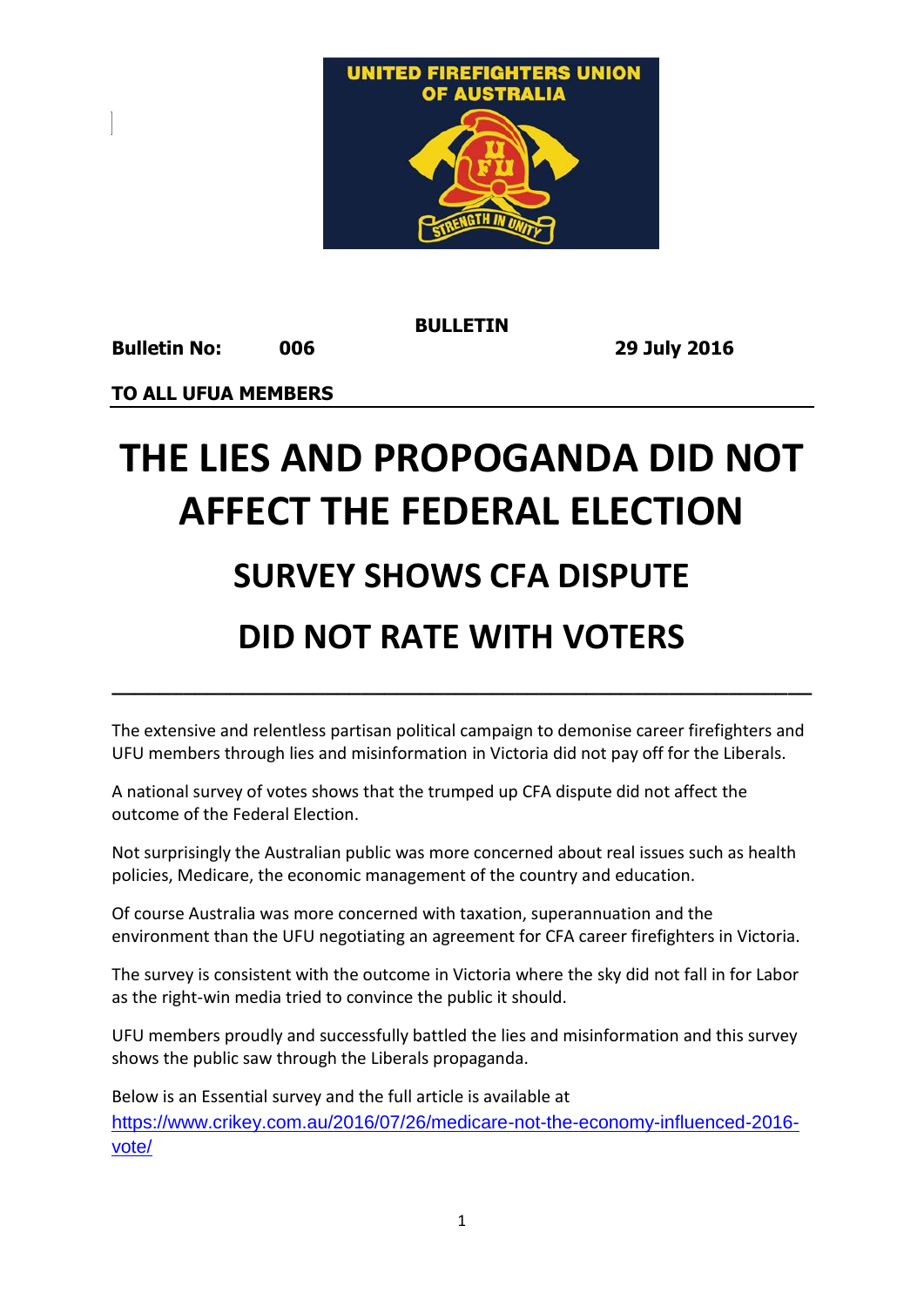

**BULLETIN**

**Bulletin No: 006 29 July 2016** 

**TO ALL UFUA MEMBERS** 

## **THE LIES AND PROPOGANDA DID NOT AFFECT THE FEDERAL ELECTION**

## **SURVEY SHOWS CFA DISPUTE**

## **DID NOT RATE WITH VOTERS**

The extensive and relentless partisan political campaign to demonise career firefighters and UFU members through lies and misinformation in Victoria did not pay off for the Liberals.

**\_\_\_\_\_\_\_\_\_\_\_\_\_\_\_\_\_\_\_\_\_\_\_\_\_\_\_\_\_\_\_\_\_\_\_\_\_\_\_\_\_\_\_\_\_\_\_\_\_\_\_\_\_\_\_\_\_\_\_**

A national survey of votes shows that the trumped up CFA dispute did not affect the outcome of the Federal Election.

Not surprisingly the Australian public was more concerned about real issues such as health policies, Medicare, the economic management of the country and education.

Of course Australia was more concerned with taxation, superannuation and the environment than the UFU negotiating an agreement for CFA career firefighters in Victoria.

The survey is consistent with the outcome in Victoria where the sky did not fall in for Labor as the right-win media tried to convince the public it should.

UFU members proudly and successfully battled the lies and misinformation and this survey shows the public saw through the Liberals propaganda.

Below is an Essential survey and the full article is available at [https://www.crikey.com.au/2016/07/26/medicare-not-the-economy-influenced-2016](https://www.crikey.com.au/2016/07/26/medicare-not-the-economy-influenced-2016-vote/) [vote/](https://www.crikey.com.au/2016/07/26/medicare-not-the-economy-influenced-2016-vote/)